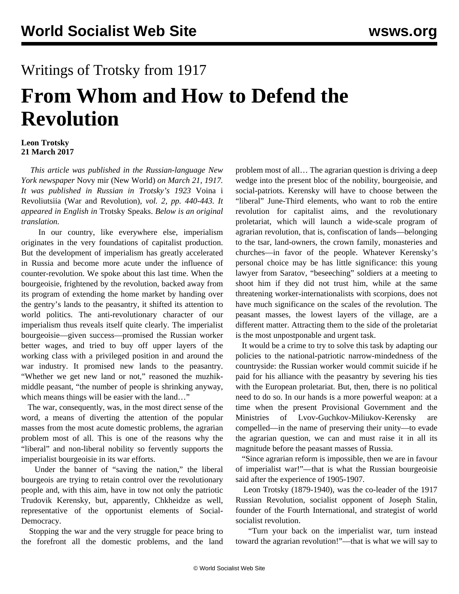## Writings of Trotsky from 1917 **From Whom and How to Defend the Revolution**

## **Leon Trotsky 21 March 2017**

 *This article was published in the Russian-language New York newspaper* Novy mir (New World) *on March 21, 1917. It was published in Russian in Trotsky's 1923* Voina i Revoliutsiia (War and Revolution)*, vol. 2, pp. 440-443. It appeared in English in* Trotsky Speaks. *Below is an original translation.*

 In our country, like everywhere else, imperialism originates in the very foundations of capitalist production. But the development of imperialism has greatly accelerated in Russia and become more acute under the influence of counter-revolution. We spoke about this last time. When the bourgeoisie, frightened by the revolution, backed away from its program of extending the home market by handing over the gentry's lands to the peasantry, it shifted its attention to world politics. The anti-revolutionary character of our imperialism thus reveals itself quite clearly. The imperialist bourgeoisie—given success—promised the Russian worker better wages, and tried to buy off upper layers of the working class with a privileged position in and around the war industry. It promised new lands to the peasantry. "Whether we get new land or not," reasoned the muzhikmiddle peasant, "the number of people is shrinking anyway, which means things will be easier with the land..."

 The war, consequently, was, in the most direct sense of the word, a means of diverting the attention of the popular masses from the most acute domestic problems, the agrarian problem most of all. This is one of the reasons why the "liberal" and non-liberal nobility so fervently supports the imperialist bourgeoisie in its war efforts.

 Under the banner of "saving the nation," the liberal bourgeois are trying to retain control over the revolutionary people and, with this aim, have in tow not only the patriotic Trudovik Kerensky, but, apparently, Chkheidze as well, representative of the opportunist elements of Social-Democracy.

 Stopping the war and the very struggle for peace bring to the forefront all the domestic problems, and the land problem most of all… The agrarian question is driving a deep wedge into the present bloc of the nobility, bourgeoisie, and social-patriots. Kerensky will have to choose between the "liberal" June-Third elements, who want to rob the entire revolution for capitalist aims, and the revolutionary proletariat, which will launch a wide-scale program of agrarian revolution, that is, confiscation of lands—belonging to the tsar, land-owners, the crown family, monasteries and churches—in favor of the people. Whatever Kerensky's personal choice may be has little significance: this young lawyer from Saratov, "beseeching" soldiers at a meeting to shoot him if they did not trust him, while at the same threatening worker-internationalists with scorpions, does not have much significance on the scales of the revolution. The peasant masses, the lowest layers of the village, are a different matter. Attracting them to the side of the proletariat is the most unpostponable and urgent task.

 It would be a crime to try to solve this task by adapting our policies to the national-patriotic narrow-mindedness of the countryside: the Russian worker would commit suicide if he paid for his alliance with the peasantry by severing his ties with the European proletariat. But, then, there is no political need to do so. In our hands is a more powerful weapon: at a time when the present Provisional Government and the Ministries of Lvov-Guchkov-Miliukov-Kerensky are compelled—in the name of preserving their unity—to evade the agrarian question, we can and must raise it in all its magnitude before the peasant masses of Russia.

 "Since agrarian reform is impossible, then we are in favour of imperialist war!"—that is what the Russian bourgeoisie said after the experience of 1905-1907.

 Leon Trotsky (1879-1940), was the co-leader of the 1917 Russian Revolution, socialist opponent of Joseph Stalin, founder of the Fourth International, and strategist of world socialist revolution.

 "Turn your back on the imperialist war, turn instead toward the agrarian revolution!"—that is what we will say to